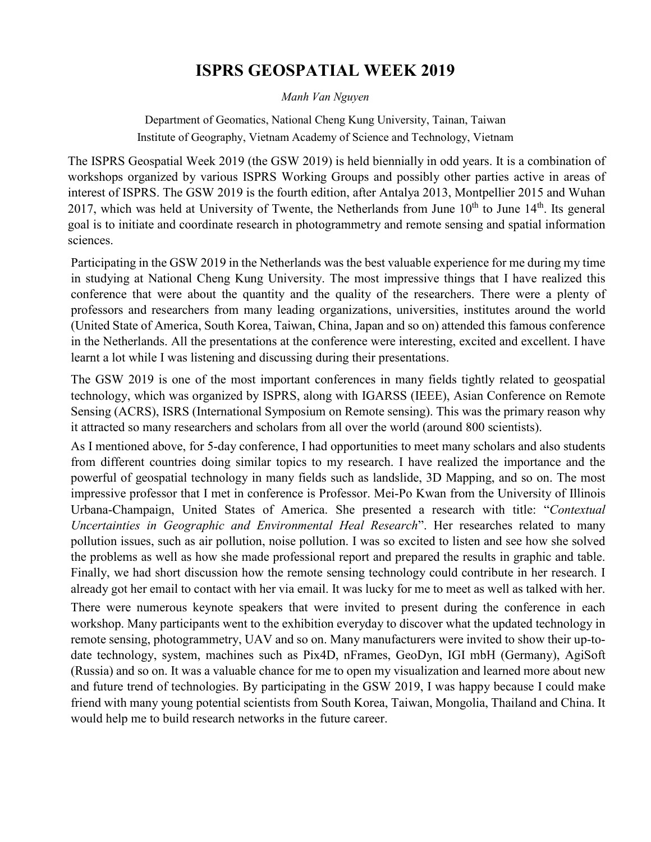## **ISPRS GEOSPATIAL WEEK 2019**

*Manh Van Nguyen*

Department of Geomatics, National Cheng Kung University, Tainan, Taiwan Institute of Geography, Vietnam Academy of Science and Technology, Vietnam

The ISPRS Geospatial Week 2019 (the GSW 2019) is held biennially in odd years. It is a combination of workshops organized by various ISPRS Working Groups and possibly other parties active in areas of interest of ISPRS. The GSW 2019 is the fourth edition, after Antalya 2013, Montpellier 2015 and Wuhan 2017, which was held at University of Twente, the Netherlands from June  $10^{th}$  to June  $14^{th}$ . Its general goal is to initiate and coordinate research in photogrammetry and remote sensing and spatial information sciences.

Participating in the GSW 2019 in the Netherlands was the best valuable experience for me during my time in studying at National Cheng Kung University. The most impressive things that I have realized this conference that were about the quantity and the quality of the researchers. There were a plenty of professors and researchers from many leading organizations, universities, institutes around the world (United State of America, South Korea, Taiwan, China, Japan and so on) attended this famous conference in the Netherlands. All the presentations at the conference were interesting, excited and excellent. I have learnt a lot while I was listening and discussing during their presentations.

The GSW 2019 is one of the most important conferences in many fields tightly related to geospatial technology, which was organized by ISPRS, along with IGARSS (IEEE), Asian Conference on Remote Sensing (ACRS), ISRS (International Symposium on Remote sensing). This was the primary reason why it attracted so many researchers and scholars from all over the world (around 800 scientists).

As I mentioned above, for 5-day conference, I had opportunities to meet many scholars and also students from different countries doing similar topics to my research. I have realized the importance and the powerful of geospatial technology in many fields such as landslide, 3D Mapping, and so on. The most impressive professor that I met in conference is Professor. Mei-Po Kwan from the University of Illinois Urbana-Champaign, United States of America. She presented a research with title: "*Contextual Uncertainties in Geographic and Environmental Heal Research*". Her researches related to many pollution issues, such as air pollution, noise pollution. I was so excited to listen and see how she solved the problems as well as how she made professional report and prepared the results in graphic and table. Finally, we had short discussion how the remote sensing technology could contribute in her research. I already got her email to contact with her via email. It was lucky for me to meet as well as talked with her.

There were numerous keynote speakers that were invited to present during the conference in each workshop. Many participants went to the exhibition everyday to discover what the updated technology in remote sensing, photogrammetry, UAV and so on. Many manufacturers were invited to show their up-todate technology, system, machines such as Pix4D, nFrames, GeoDyn, IGI mbH (Germany), AgiSoft (Russia) and so on. It was a valuable chance for me to open my visualization and learned more about new and future trend of technologies. By participating in the GSW 2019, I was happy because I could make friend with many young potential scientists from South Korea, Taiwan, Mongolia, Thailand and China. It would help me to build research networks in the future career.